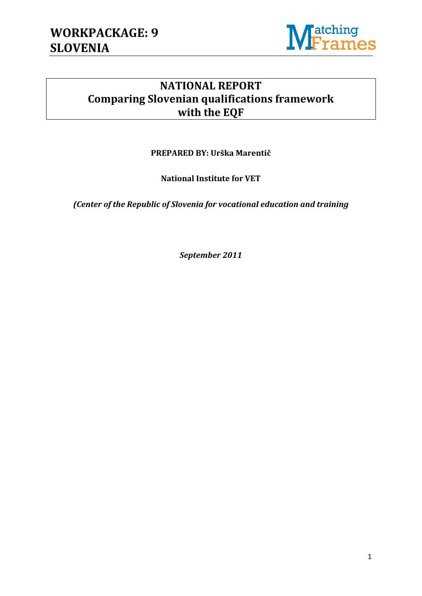

## **NATIONAL REPORT Comparing Slovenian qualifications framework with the EQF**

**PREPARED BY: Urška Marentič**

**National Institute for VET**

*(Center of the Republic of Slovenia for vocational education and training*

*September 2011*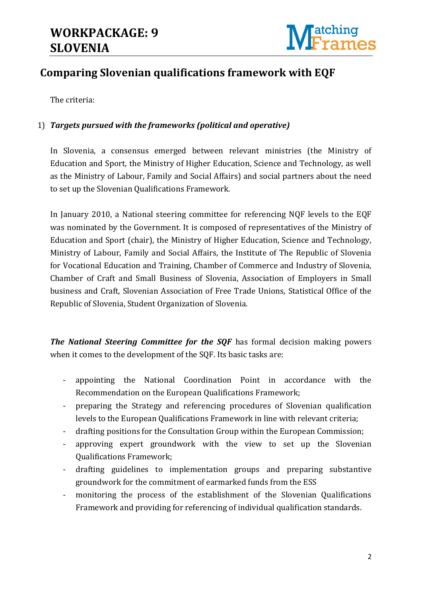

## **Comparing Slovenian qualifications framework with EQF**

The criteria:

### 1) *Targets pursued with the frameworks (political and operative)*

In Slovenia, a consensus emerged between relevant ministries (the Ministry of Education and Sport, the Ministry of Higher Education, Science and Technology, as well as the Ministry of Labour, Family and Social Affairs) and social partners about the need to set up the Slovenian Qualifications Framework.

In January 2010, a National steering committee for referencing NQF levels to the EQF was nominated by the Government. It is composed of representatives of the Ministry of Education and Sport (chair), the Ministry of Higher Education, Science and Technology, Ministry of Labour, Family and Social Affairs, the Institute of The Republic of Slovenia for Vocational Education and Training, Chamber of Commerce and Industry of Slovenia, Chamber of Craft and Small Business of Slovenia, Association of Employers in Small business and Craft, Slovenian Association of Free Trade Unions, Statistical Office of the Republic of Slovenia, Student Organization of Slovenia.

*The National Steering Committee for the SQF* has formal decision making powers when it comes to the development of the SQF. Its basic tasks are:

- appointing the National Coordination Point in accordance with the Recommendation on the European Qualifications Framework;
- preparing the Strategy and referencing procedures of Slovenian qualification levels to the European Qualifications Framework in line with relevant criteria;
- drafting positions for the Consultation Group within the European Commission;
- approving expert groundwork with the view to set up the Slovenian Qualifications Framework;
- drafting guidelines to implementation groups and preparing substantive groundwork for the commitment of earmarked funds from the ESS
- monitoring the process of the establishment of the Slovenian Qualifications Framework and providing for referencing of individual qualification standards.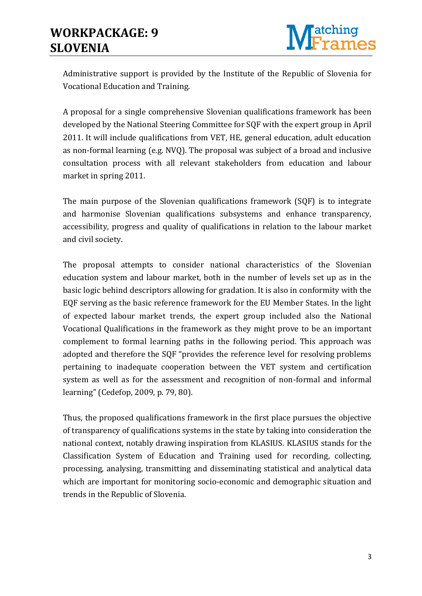

Administrative support is provided by the Institute of the Republic of Slovenia for Vocational Education and Training.

A proposal for a single comprehensive Slovenian qualifications framework has been developed by the National Steering Committee for SQF with the expert group in April 2011. It will include qualifications from VET, HE, general education, adult education as non-formal learning (e.g. NVQ). The proposal was subject of a broad and inclusive consultation process with all relevant stakeholders from education and labour market in spring 2011.

The main purpose of the Slovenian qualifications framework (SQF) is to integrate and harmonise Slovenian qualifications subsystems and enhance transparency, accessibility, progress and quality of qualifications in relation to the labour market and civil society.

The proposal attempts to consider national characteristics of the Slovenian education system and labour market, both in the number of levels set up as in the basic logic behind descriptors allowing for gradation. It is also in conformity with the EQF serving as the basic reference framework for the EU Member States. In the light of expected labour market trends, the expert group included also the National Vocational Qualifications in the framework as they might prove to be an important complement to formal learning paths in the following period. This approach was adopted and therefore the SQF "provides the reference level for resolving problems pertaining to inadequate cooperation between the VET system and certification system as well as for the assessment and recognition of non-formal and informal learning" (Cedefop, 2009, p. 79, 80).

Thus, the proposed qualifications framework in the first place pursues the objective of transparency of qualifications systems in the state by taking into consideration the national context, notably drawing inspiration from KLASIUS. KLASIUS stands for the Classification System of Education and Training used for recording, collecting, processing, analysing, transmitting and disseminating statistical and analytical data which are important for monitoring socio-economic and demographic situation and trends in the Republic of Slovenia.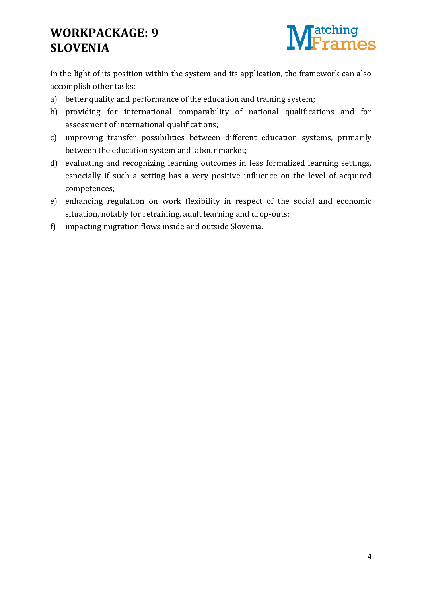

In the light of its position within the system and its application, the framework can also accomplish other tasks:

- a) better quality and performance of the education and training system;
- b) providing for international comparability of national qualifications and for assessment of international qualifications;
- c) improving transfer possibilities between different education systems, primarily between the education system and labour market;
- d) evaluating and recognizing learning outcomes in less formalized learning settings, especially if such a setting has a very positive influence on the level of acquired competences;
- e) enhancing regulation on work flexibility in respect of the social and economic situation, notably for retraining, adult learning and drop-outs;
- f) impacting migration flows inside and outside Slovenia.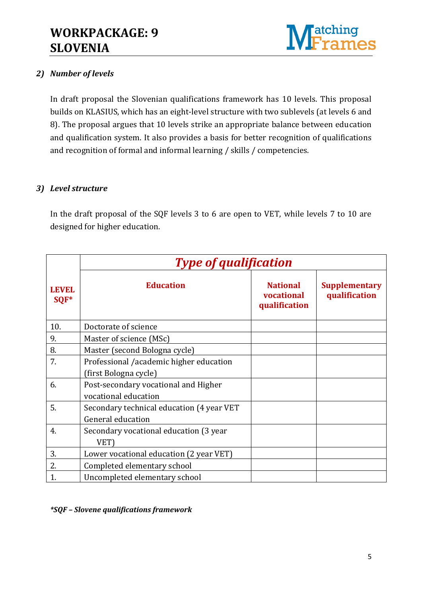

### *2) Number of levels*

In draft proposal the Slovenian qualifications framework has 10 levels. This proposal builds on KLASIUS, which has an eight-level structure with two sublevels (at levels 6 and 8). The proposal argues that 10 levels strike an appropriate balance between education and qualification system. It also provides a basis for better recognition of qualifications and recognition of formal and informal learning / skills / competencies.

#### *3) Level structure*

In the draft proposal of the SQF levels 3 to 6 are open to VET, while levels 7 to 10 are designed for higher education.

|                  | <b>Type of qualification</b>              |                                                |                                       |
|------------------|-------------------------------------------|------------------------------------------------|---------------------------------------|
| LEVEL.<br>SQF*   | <b>Education</b>                          | <b>National</b><br>vocational<br>qualification | <b>Supplementary</b><br>qualification |
| 10.              | Doctorate of science                      |                                                |                                       |
| 9.               | Master of science (MSc)                   |                                                |                                       |
| 8.               | Master (second Bologna cycle)             |                                                |                                       |
| 7.               | Professional /academic higher education   |                                                |                                       |
|                  | (first Bologna cycle)                     |                                                |                                       |
| 6.               | Post-secondary vocational and Higher      |                                                |                                       |
|                  | vocational education                      |                                                |                                       |
| 5.               | Secondary technical education (4 year VET |                                                |                                       |
|                  | General education                         |                                                |                                       |
| 4.               | Secondary vocational education (3 year    |                                                |                                       |
|                  | VET)                                      |                                                |                                       |
| 3.               | Lower vocational education (2 year VET)   |                                                |                                       |
| $\overline{2}$ . | Completed elementary school               |                                                |                                       |
| 1.               | Uncompleted elementary school             |                                                |                                       |

*\*SQF – Slovene qualifications framework*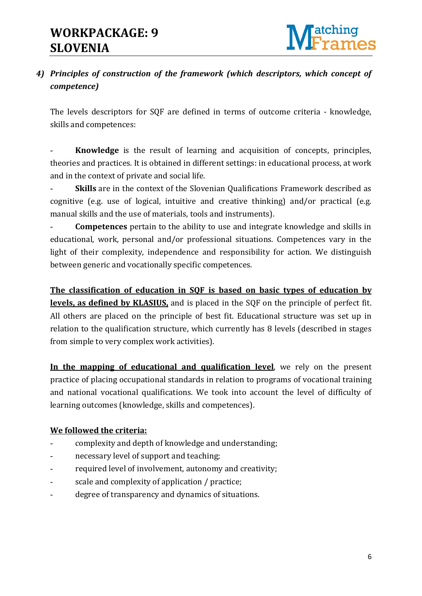

### *4) Principles of construction of the framework (which descriptors, which concept of competence)*

The levels descriptors for SQF are defined in terms of outcome criteria - knowledge, skills and competences:

**Knowledge** is the result of learning and acquisition of concepts, principles, theories and practices. It is obtained in different settings: in educational process, at work and in the context of private and social life.

- **Skills** are in the context of the Slovenian Qualifications Framework described as cognitive (e.g. use of logical, intuitive and creative thinking) and/or practical (e.g. manual skills and the use of materials, tools and instruments).

- **Competences** pertain to the ability to use and integrate knowledge and skills in educational, work, personal and/or professional situations. Competences vary in the light of their complexity, independence and responsibility for action. We distinguish between generic and vocationally specific competences.

**The classification of education in SQF is based on basic types of education by levels, as defined by KLASIUS,** and is placed in the SQF on the principle of perfect fit. All others are placed on the principle of best fit. Educational structure was set up in relation to the qualification structure, which currently has 8 levels (described in stages from simple to very complex work activities).

**In the mapping of educational and qualification level**, we rely on the present practice of placing occupational standards in relation to programs of vocational training and national vocational qualifications. We took into account the level of difficulty of learning outcomes (knowledge, skills and competences).

### **We followed the criteria:**

- complexity and depth of knowledge and understanding;
- necessary level of support and teaching;
- required level of involvement, autonomy and creativity;
- scale and complexity of application / practice;
- degree of transparency and dynamics of situations.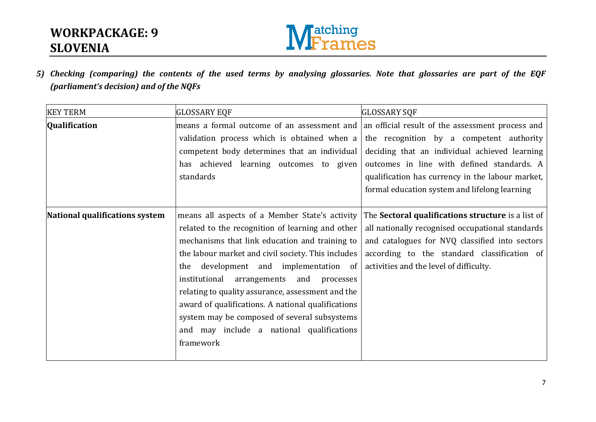

*5) Checking (comparing) the contents of the used terms by analysing glossaries. Note that glossaries are part of the EQF (parliament's decision) and of the NQFs* 

| <b>KEY TERM</b>                | <b>GLOSSARY EQF</b>                                | <b>GLOSSARY SQF</b>                                                                                      |
|--------------------------------|----------------------------------------------------|----------------------------------------------------------------------------------------------------------|
| <b>Qualification</b>           |                                                    | means a formal outcome of an assessment and   an official result of the assessment process and           |
|                                |                                                    | validation process which is obtained when $a \mid$ the recognition by a competent authority              |
|                                |                                                    | competent body determines that an individual deciding that an individual achieved learning               |
|                                | has achieved learning outcomes to given            | outcomes in line with defined standards. A                                                               |
|                                | standards                                          | qualification has currency in the labour market,                                                         |
|                                |                                                    | formal education system and lifelong learning                                                            |
| National qualifications system |                                                    | means all aspects of a Member State's activity The <b>Sectoral qualifications structure</b> is a list of |
|                                | related to the recognition of learning and other   | all nationally recognised occupational standards                                                         |
|                                | mechanisms that link education and training to     | and catalogues for NVQ classified into sectors                                                           |
|                                | the labour market and civil society. This includes | according to the standard classification of                                                              |
|                                | the development and implementation of              | activities and the level of difficulty.                                                                  |
|                                | institutional arrangements and processes           |                                                                                                          |
|                                | relating to quality assurance, assessment and the  |                                                                                                          |
|                                | award of qualifications. A national qualifications |                                                                                                          |
|                                | system may be composed of several subsystems       |                                                                                                          |
|                                | and may include a national qualifications          |                                                                                                          |
|                                | framework                                          |                                                                                                          |
|                                |                                                    |                                                                                                          |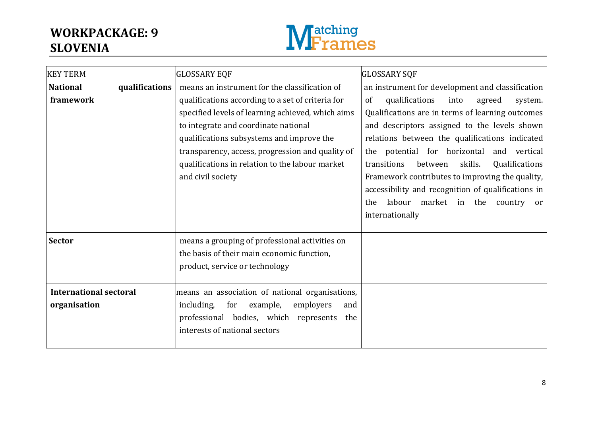

| <b>KEY TERM</b>                               |                | <b>GLOSSARY EQF</b>                                                                                                                                                                                                                                                                                                     | <b>GLOSSARY SQF</b>                                                                                                                                                                                                                                                                                                                                                                                                                                                                     |
|-----------------------------------------------|----------------|-------------------------------------------------------------------------------------------------------------------------------------------------------------------------------------------------------------------------------------------------------------------------------------------------------------------------|-----------------------------------------------------------------------------------------------------------------------------------------------------------------------------------------------------------------------------------------------------------------------------------------------------------------------------------------------------------------------------------------------------------------------------------------------------------------------------------------|
| <b>National</b>                               | qualifications | means an instrument for the classification of                                                                                                                                                                                                                                                                           | an instrument for development and classification                                                                                                                                                                                                                                                                                                                                                                                                                                        |
| framework                                     |                | qualifications according to a set of criteria for<br>specified levels of learning achieved, which aims<br>to integrate and coordinate national<br>qualifications subsystems and improve the<br>transparency, access, progression and quality of<br>qualifications in relation to the labour market<br>and civil society | qualifications<br>of<br>into<br>agreed<br>system.<br>Qualifications are in terms of learning outcomes<br>and descriptors assigned to the levels shown<br>relations between the qualifications indicated<br>the potential for horizontal<br>and vertical<br>between<br>transitions<br>skills.<br>Qualifications<br>Framework contributes to improving the quality,<br>accessibility and recognition of qualifications in<br>labour market in the<br>the<br>country or<br>internationally |
| <b>Sector</b>                                 |                | means a grouping of professional activities on<br>the basis of their main economic function,<br>product, service or technology                                                                                                                                                                                          |                                                                                                                                                                                                                                                                                                                                                                                                                                                                                         |
| <b>International sectoral</b><br>organisation |                | means an association of national organisations,<br>including,<br>for<br>example,<br>employers<br>and<br>professional bodies, which represents<br>the<br>interests of national sectors                                                                                                                                   |                                                                                                                                                                                                                                                                                                                                                                                                                                                                                         |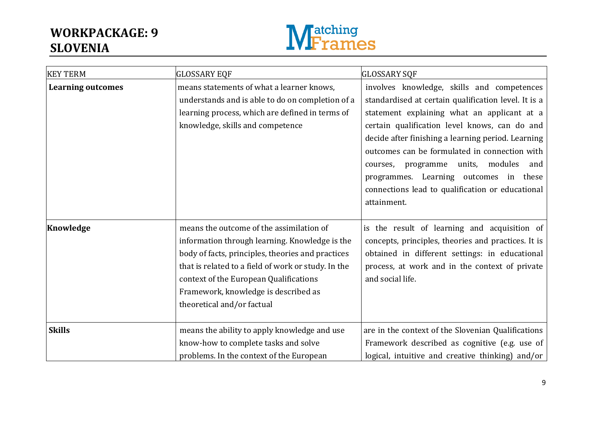

| <b>KEY TERM</b>          | <b>GLOSSARY EQF</b>                                                                                                                                                                                                                                                                                                    | <b>GLOSSARY SQF</b>                                                                                                                                                                                                                                                                                                                                                                                                                                                   |
|--------------------------|------------------------------------------------------------------------------------------------------------------------------------------------------------------------------------------------------------------------------------------------------------------------------------------------------------------------|-----------------------------------------------------------------------------------------------------------------------------------------------------------------------------------------------------------------------------------------------------------------------------------------------------------------------------------------------------------------------------------------------------------------------------------------------------------------------|
| <b>Learning outcomes</b> | means statements of what a learner knows,<br>understands and is able to do on completion of a<br>learning process, which are defined in terms of<br>knowledge, skills and competence                                                                                                                                   | involves knowledge, skills and competences<br>standardised at certain qualification level. It is a<br>statement explaining what an applicant at a<br>certain qualification level knows, can do and<br>decide after finishing a learning period. Learning<br>outcomes can be formulated in connection with<br>programme units, modules<br>and<br>courses,<br>programmes. Learning outcomes in these<br>connections lead to qualification or educational<br>attainment. |
| Knowledge                | means the outcome of the assimilation of<br>information through learning. Knowledge is the<br>body of facts, principles, theories and practices<br>that is related to a field of work or study. In the<br>context of the European Qualifications<br>Framework, knowledge is described as<br>theoretical and/or factual | is the result of learning and acquisition of<br>concepts, principles, theories and practices. It is<br>obtained in different settings: in educational<br>process, at work and in the context of private<br>and social life.                                                                                                                                                                                                                                           |
| <b>Skills</b>            | means the ability to apply knowledge and use<br>know-how to complete tasks and solve<br>problems. In the context of the European                                                                                                                                                                                       | are in the context of the Slovenian Qualifications<br>Framework described as cognitive (e.g. use of<br>logical, intuitive and creative thinking) and/or                                                                                                                                                                                                                                                                                                               |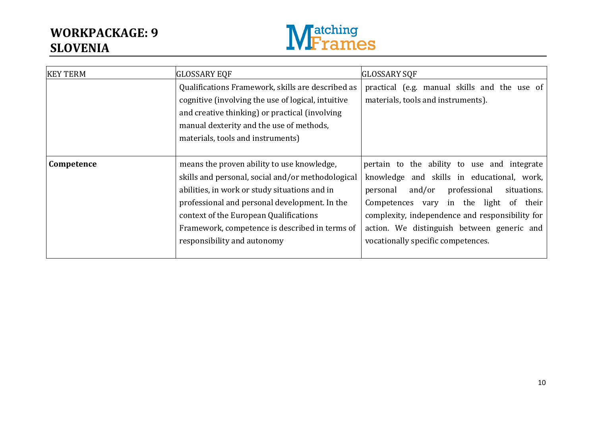

| <b>KEY TERM</b> | <b>GLOSSARY EQF</b>                                | <b>GLOSSARY SQF</b>                               |
|-----------------|----------------------------------------------------|---------------------------------------------------|
|                 | Qualifications Framework, skills are described as  | practical (e.g. manual skills and the use of      |
|                 | cognitive (involving the use of logical, intuitive | materials, tools and instruments).                |
|                 | and creative thinking) or practical (involving     |                                                   |
|                 | manual dexterity and the use of methods,           |                                                   |
|                 | materials, tools and instruments)                  |                                                   |
|                 |                                                    |                                                   |
| Competence      | means the proven ability to use knowledge,         | pertain to the ability to use and integrate       |
|                 | skills and personal, social and/or methodological  | knowledge and skills in educational, work,        |
|                 | abilities, in work or study situations and in      | and/or<br>professional<br>situations.<br>personal |
|                 | professional and personal development. In the      | Competences vary in the light of their            |
|                 | context of the European Qualifications             | complexity, independence and responsibility for   |
|                 | Framework, competence is described in terms of     | action. We distinguish between generic and        |
|                 | responsibility and autonomy                        | vocationally specific competences.                |
|                 |                                                    |                                                   |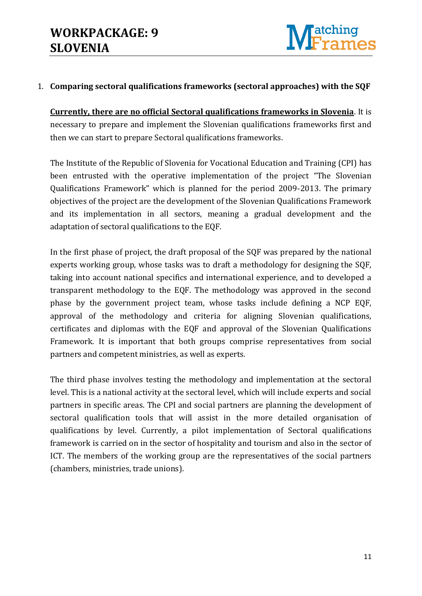

### 1. **Comparing sectoral qualifications frameworks (sectoral approaches) with the SQF**

**Currently, there are no official Sectoral qualifications frameworks in Slovenia**. It is necessary to prepare and implement the Slovenian qualifications frameworks first and then we can start to prepare Sectoral qualifications frameworks.

The Institute of the Republic of Slovenia for Vocational Education and Training (CPI) has been entrusted with the operative implementation of the project "The Slovenian Qualifications Framework" which is planned for the period 2009-2013. The primary objectives of the project are the development of the Slovenian Qualifications Framework and its implementation in all sectors, meaning a gradual development and the adaptation of sectoral qualifications to the EQF.

In the first phase of project, the draft proposal of the SQF was prepared by the national experts working group, whose tasks was to draft a methodology for designing the SQF, taking into account national specifics and international experience, and to developed a transparent methodology to the EQF. The methodology was approved in the second phase by the government project team, whose tasks include defining a NCP EQF, approval of the methodology and criteria for aligning Slovenian qualifications, certificates and diplomas with the EQF and approval of the Slovenian Qualifications Framework. It is important that both groups comprise representatives from social partners and competent ministries, as well as experts.

The third phase involves testing the methodology and implementation at the sectoral level. This is a national activity at the sectoral level, which will include experts and social partners in specific areas. The CPI and social partners are planning the development of sectoral qualification tools that will assist in the more detailed organisation of qualifications by level. Currently, a pilot implementation of Sectoral qualifications framework is carried on in the sector of hospitality and tourism and also in the sector of ICT. The members of the working group are the representatives of the social partners (chambers, ministries, trade unions).